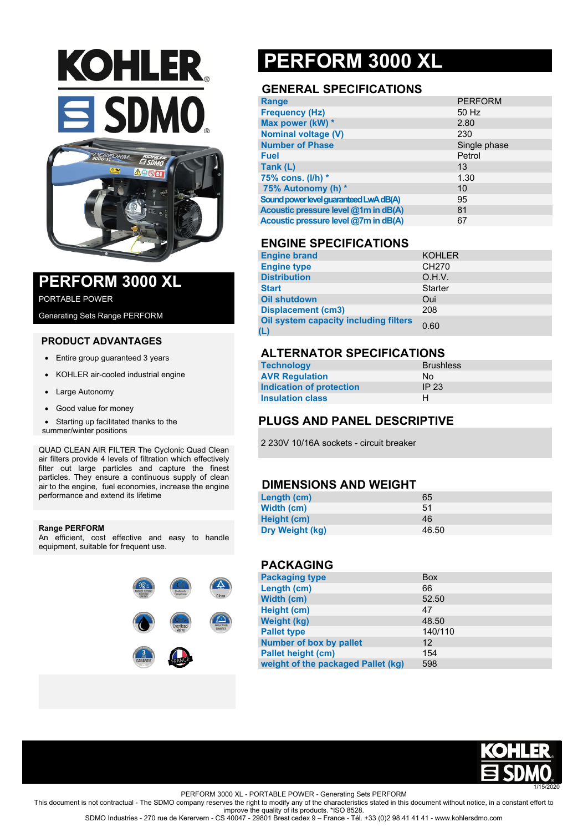# **KOHLER. SDMO**



### **PERFORM 3000 XL**

PORTABLE POWER

Generating Sets Range PERFORM

#### **PRODUCT ADVANTAGES**

- Entire group guaranteed 3 years
- KOHLER air-cooled industrial engine
- Large Autonomy
- Good value for money
- Starting up facilitated thanks to the

summer/winter positions

QUAD CLEAN AIR FILTER The Cyclonic Quad Clean air filters provide 4 levels of filtration which effectively filter out large particles and capture the finest particles. They ensure a continuous supply of clean air to the engine, fuel economies, increase the engine performance and extend its lifetime

#### **Range PERFORM**

An efficient, cost effective and easy to handle equipment, suitable for frequent use.



## **PERFORM 3000 XL**

#### **GENERAL SPECIFICATIONS**

| <b>Range</b>                           | <b>PERFORM</b> |
|----------------------------------------|----------------|
| <b>Frequency (Hz)</b>                  | 50 Hz          |
| Max power (kW) *                       | 2.80           |
| <b>Nominal voltage (V)</b>             | 230            |
| <b>Number of Phase</b>                 | Single phase   |
| <b>Fuel</b>                            | Petrol         |
| Tank (L)                               | 13             |
| 75% cons. (I/h) *                      | 1.30           |
| 75% Autonomy (h) *                     | 10             |
| Sound power level guaranteed LwA dB(A) | 95             |
| Acoustic pressure level @1m in dB(A)   | 81             |
| Acoustic pressure level @7m in dB(A)   | 67             |

#### **ENGINE SPECIFICATIONS**

| <b>Engine brand</b>                          | <b>KOHLER</b>     |
|----------------------------------------------|-------------------|
| <b>Engine type</b>                           | CH <sub>270</sub> |
| <b>Distribution</b>                          | O.H.V.            |
| <b>Start</b>                                 | <b>Starter</b>    |
| <b>Oil shutdown</b>                          | Oui               |
| <b>Displacement (cm3)</b>                    | 208               |
| Oil system capacity including filters<br>(L) | 0.60              |

#### **ALTERNATOR SPECIFICATIONS**

| <b>Technology</b>        | <b>Brushless</b> |
|--------------------------|------------------|
| <b>AVR Regulation</b>    | No.              |
| Indication of protection | IP $23$          |
| <b>Insulation class</b>  | н                |

#### **PLUGS AND PANEL DESCRIPTIVE**

2 230V 10/16A sockets - circuit breaker

#### **DIMENSIONS AND WEIGHT**

| Length (cm)     | 65    |
|-----------------|-------|
| Width (cm)      | 51    |
| Height (cm)     | 46    |
| Dry Weight (kg) | 46.50 |

#### **PACKAGING**

| <b>Packaging type</b>              | <b>Box</b>        |
|------------------------------------|-------------------|
| Length (cm)                        | 66                |
| Width (cm)                         | 52.50             |
| Height (cm)                        | 47                |
| <b>Weight (kg)</b>                 | 48.50             |
| <b>Pallet type</b>                 | 140/110           |
| Number of box by pallet            | $12 \overline{ }$ |
| <b>Pallet height (cm)</b>          | 154               |
| weight of the packaged Pallet (kg) | 598               |



PERFORM 3000 XL - PORTABLE POWER - Generating Sets PERFORM

This document is not contractual - The SDMO company reserves the right to modify any of the characteristics stated in this document without notice, in a constant effort to improve the quality of its products. \*ISO 8528.

SDMO Industries - 270 rue de Kerervern - CS 40047 - 29801 Brest cedex 9 – France - Tél. +33 (0)2 98 41 41 41 - www.kohlersdmo.com